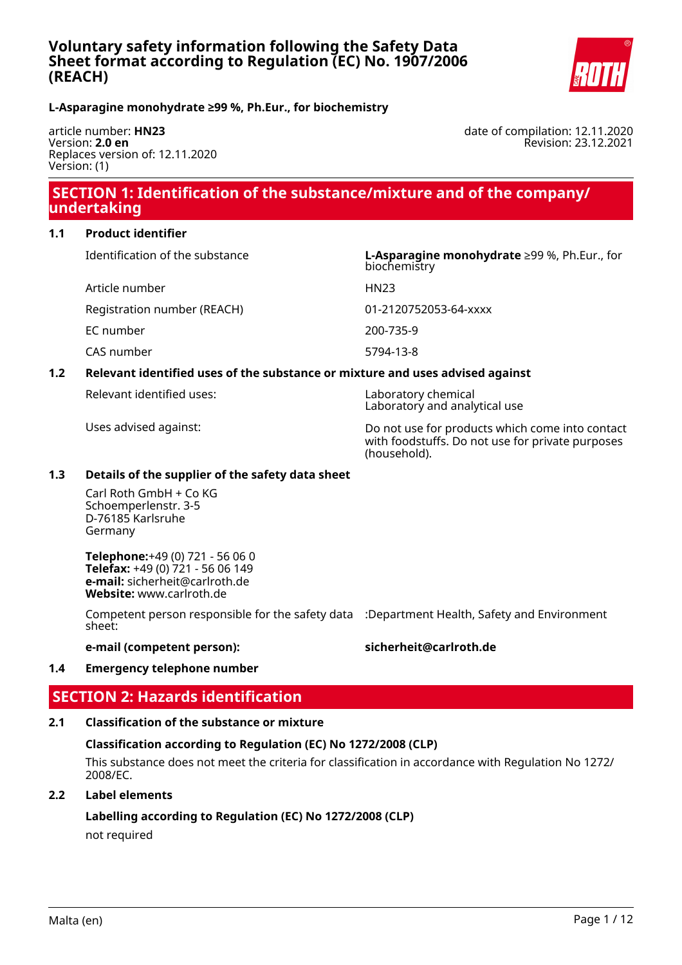

### **L-Asparagine monohydrate ≥99 %, Ph.Eur., for biochemistry**

article number: **HN23** Version: **2.0 en** Replaces version of: 12.11.2020 Version: (1)

date of compilation: 12.11.2020 Revision: 23.12.2021

# **SECTION 1: Identification of the substance/mixture and of the company/ undertaking**

#### **1.1 Product identifier**

Article number HN23

Registration number (REACH) 01-2120752053-64-xxxx

EC number 200-735-9

CAS number 5794-13-8

## Identification of the substance **L-Asparagine monohydrate** ≥99 %, Ph.Eur., for biochemistry

## **1.2 Relevant identified uses of the substance or mixture and uses advised against**

Relevant identified uses: Laboratory chemical

Laboratory and analytical use

Uses advised against: Do not use for products which come into contact with foodstuffs. Do not use for private purposes (household).

### **1.3 Details of the supplier of the safety data sheet**

Carl Roth GmbH + Co KG Schoemperlenstr. 3-5 D-76185 Karlsruhe Germany

**Telephone:**+49 (0) 721 - 56 06 0 **Telefax:** +49 (0) 721 - 56 06 149 **e-mail:** sicherheit@carlroth.de **Website:** www.carlroth.de

Competent person responsible for the safety data :Department Health, Safety and Environment sheet:

### **e-mail (competent person): sicherheit@carlroth.de**

#### **1.4 Emergency telephone number**

# **SECTION 2: Hazards identification**

### **2.1 Classification of the substance or mixture**

## **Classification according to Regulation (EC) No 1272/2008 (CLP)**

This substance does not meet the criteria for classification in accordance with Regulation No 1272/ 2008/EC.

### **2.2 Label elements**

## **Labelling according to Regulation (EC) No 1272/2008 (CLP)**

not required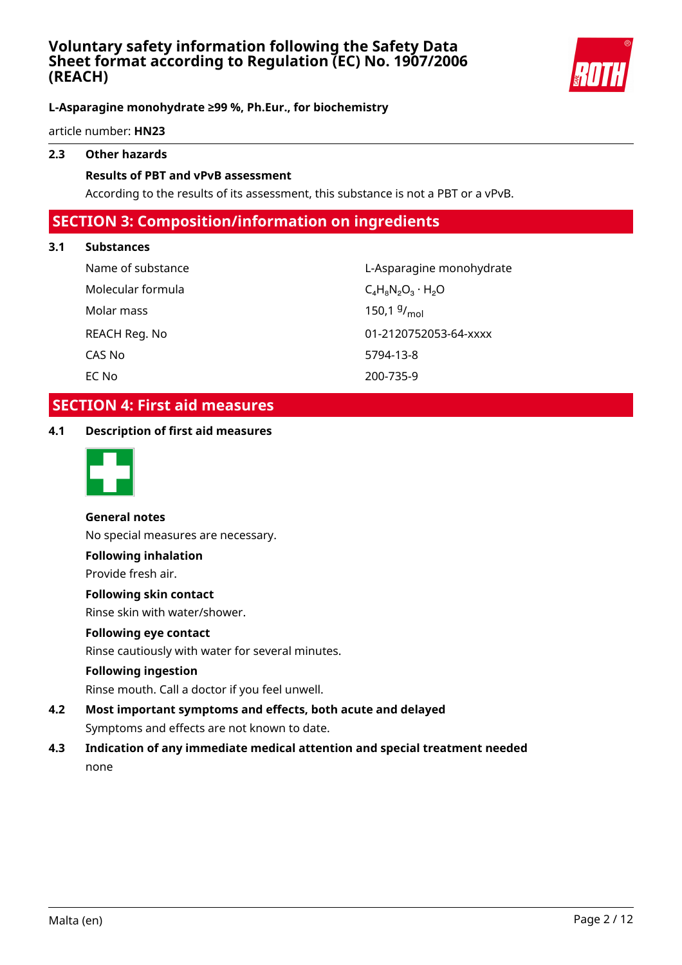

### **L-Asparagine monohydrate ≥99 %, Ph.Eur., for biochemistry**

article number: **HN23**

# **2.3 Other hazards**

#### **Results of PBT and vPvB assessment**

According to the results of its assessment, this substance is not a PBT or a vPvB.

# **SECTION 3: Composition/information on ingredients**

#### **3.1 Substances**

Molecular formula  $C_4H_8N_2O_3 \cdot H_2O$ Molar mass CAS No 5794-13-8 EC No 200-735-9

Name of substance and the control of substance and the L-Asparagine monohydrate 150.1  $9/_{mol}$ REACH Reg. No 01-2120752053-64-xxxx

# **SECTION 4: First aid measures**

**4.1 Description of first aid measures**



#### **General notes**

No special measures are necessary.

#### **Following inhalation**

Provide fresh air.

#### **Following skin contact**

Rinse skin with water/shower.

#### **Following eye contact**

Rinse cautiously with water for several minutes.

#### **Following ingestion**

Rinse mouth. Call a doctor if you feel unwell.

- **4.2 Most important symptoms and effects, both acute and delayed** Symptoms and effects are not known to date.
- **4.3 Indication of any immediate medical attention and special treatment needed** none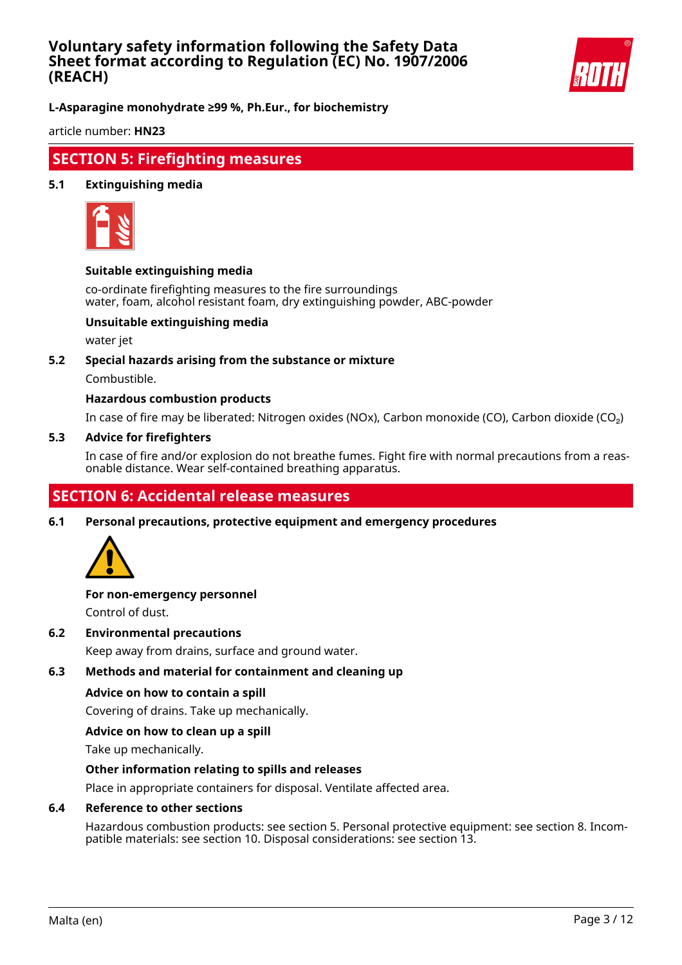

**L-Asparagine monohydrate ≥99 %, Ph.Eur., for biochemistry**

article number: **HN23**

# **SECTION 5: Firefighting measures**

#### **5.1 Extinguishing media**



#### **Suitable extinguishing media**

co-ordinate firefighting measures to the fire surroundings water, foam, alcohol resistant foam, dry extinguishing powder, ABC-powder

### **Unsuitable extinguishing media**

water jet

#### **5.2 Special hazards arising from the substance or mixture**

Combustible.

#### **Hazardous combustion products**

In case of fire may be liberated: Nitrogen oxides (NOx), Carbon monoxide (CO), Carbon dioxide (CO₂)

#### **5.3 Advice for firefighters**

In case of fire and/or explosion do not breathe fumes. Fight fire with normal precautions from a reasonable distance. Wear self-contained breathing apparatus.

# **SECTION 6: Accidental release measures**

**6.1 Personal precautions, protective equipment and emergency procedures**



# **For non-emergency personnel**

Control of dust.

**6.2 Environmental precautions**

Keep away from drains, surface and ground water.

#### **6.3 Methods and material for containment and cleaning up**

#### **Advice on how to contain a spill**

Covering of drains. Take up mechanically.

#### **Advice on how to clean up a spill**

Take up mechanically.

#### **Other information relating to spills and releases**

Place in appropriate containers for disposal. Ventilate affected area.

#### **6.4 Reference to other sections**

Hazardous combustion products: see section 5. Personal protective equipment: see section 8. Incompatible materials: see section 10. Disposal considerations: see section 13.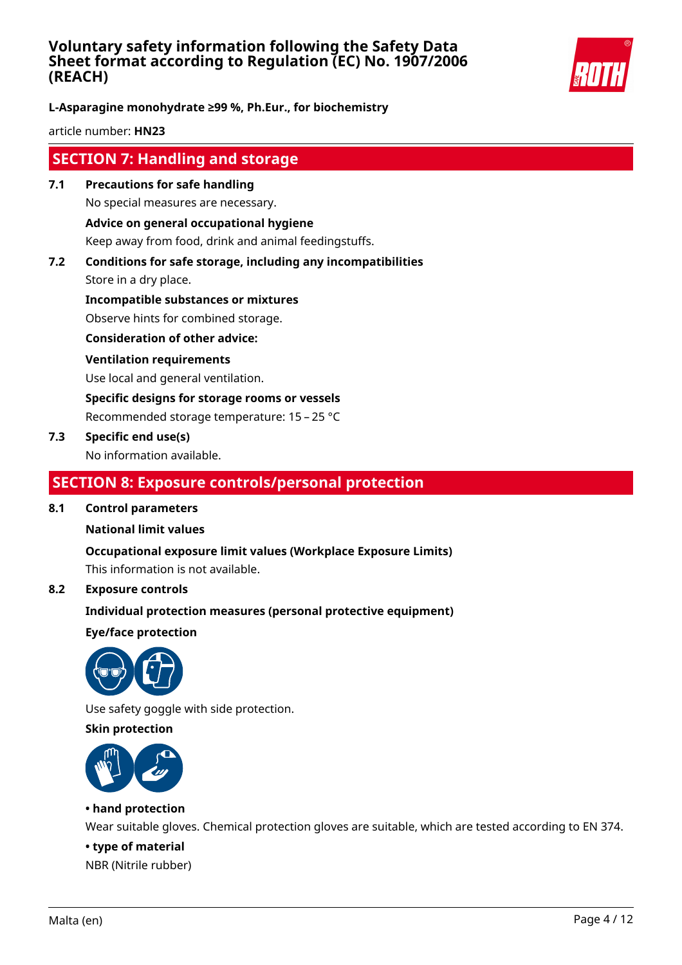

**L-Asparagine monohydrate ≥99 %, Ph.Eur., for biochemistry**

article number: **HN23**

# **SECTION 7: Handling and storage**

- **7.1 Precautions for safe handling** No special measures are necessary. **Advice on general occupational hygiene** Keep away from food, drink and animal feedingstuffs.
- **7.2 Conditions for safe storage, including any incompatibilities**

Store in a dry place.

**Incompatible substances or mixtures** Observe hints for combined storage.

**Consideration of other advice:**

#### **Ventilation requirements**

Use local and general ventilation.

**Specific designs for storage rooms or vessels**

Recommended storage temperature: 15 – 25 °C

### **7.3 Specific end use(s)**

No information available.

# **SECTION 8: Exposure controls/personal protection**

#### **8.1 Control parameters**

#### **National limit values**

**Occupational exposure limit values (Workplace Exposure Limits)**

This information is not available.

# **8.2 Exposure controls**

### **Individual protection measures (personal protective equipment)**

**Eye/face protection**



Use safety goggle with side protection.

### **Skin protection**



### **• hand protection**

Wear suitable gloves. Chemical protection gloves are suitable, which are tested according to EN 374.

#### **• type of material**

NBR (Nitrile rubber)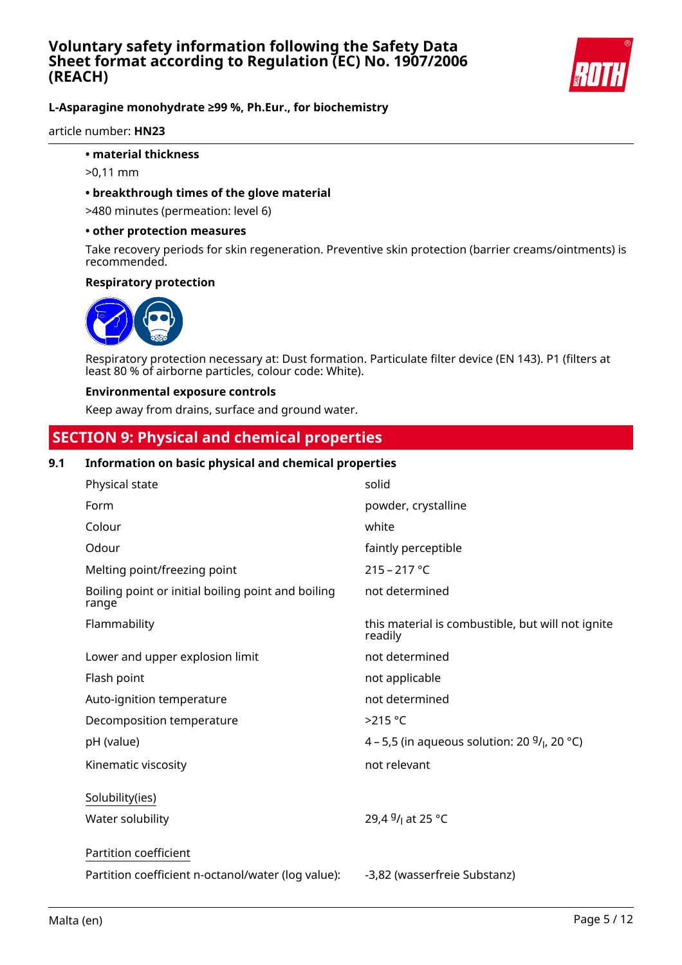

### **L-Asparagine monohydrate ≥99 %, Ph.Eur., for biochemistry**

article number: **HN23**

#### **• material thickness**

- >0,11 mm
- **breakthrough times of the glove material**

>480 minutes (permeation: level 6)

#### **• other protection measures**

Take recovery periods for skin regeneration. Preventive skin protection (barrier creams/ointments) is recommended.

#### **Respiratory protection**



Respiratory protection necessary at: Dust formation. Particulate filter device (EN 143). P1 (filters at least 80 % of airborne particles, colour code: White).

#### **Environmental exposure controls**

Keep away from drains, surface and ground water.

# **SECTION 9: Physical and chemical properties**

#### **9.1 Information on basic physical and chemical properties**

| Physical state                                              | solid                                                        |
|-------------------------------------------------------------|--------------------------------------------------------------|
| Form                                                        | powder, crystalline                                          |
| Colour                                                      | white                                                        |
| Odour                                                       | faintly perceptible                                          |
| Melting point/freezing point                                | $215 - 217 °C$                                               |
| Boiling point or initial boiling point and boiling<br>range | not determined                                               |
| Flammability                                                | this material is combustible, but will not ignite<br>readily |
| Lower and upper explosion limit                             | not determined                                               |
| Flash point                                                 | not applicable                                               |
| Auto-ignition temperature                                   | not determined                                               |
| Decomposition temperature                                   | $>215$ °C                                                    |
| pH (value)                                                  | 4 – 5,5 (in aqueous solution: 20 $9/1$ , 20 °C)              |
| Kinematic viscosity                                         | not relevant                                                 |
| Solubility(ies)                                             |                                                              |
| Water solubility                                            | 29,4 <sup>g</sup> / <sub>l</sub> at 25 °C                    |
| Partition coefficient                                       |                                                              |
| Partition coefficient n-octanol/water (log value):          | -3,82 (wasserfreie Substanz)                                 |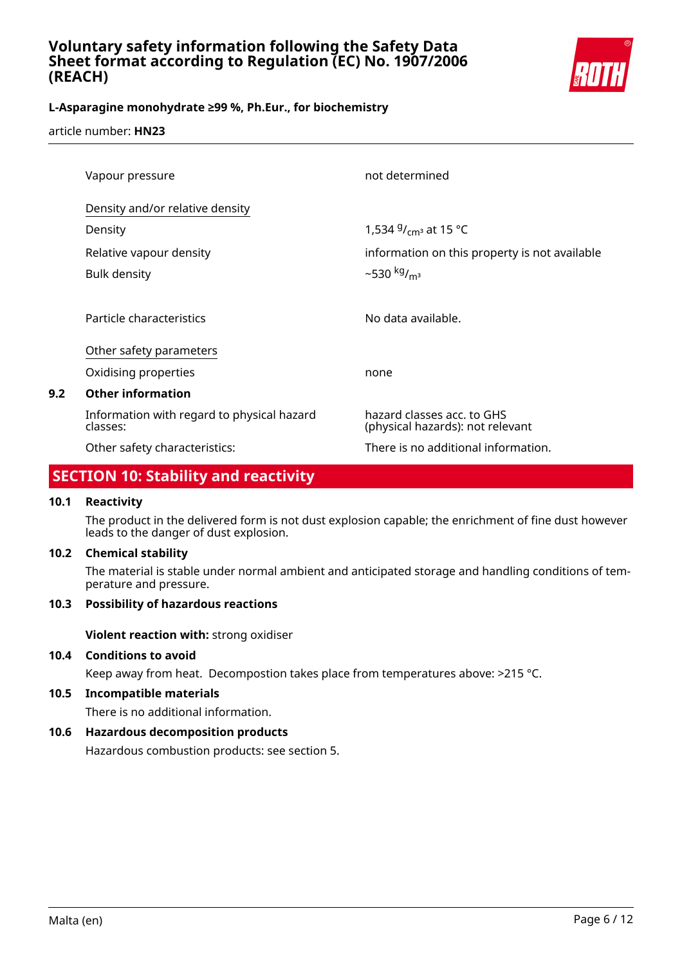

# **L-Asparagine monohydrate ≥99 %, Ph.Eur., for biochemistry**

article number: **HN23**

| Vapour pressure                                        | not determined                                                 |
|--------------------------------------------------------|----------------------------------------------------------------|
| Density and/or relative density                        |                                                                |
| Density                                                | 1,534 $9/$ <sub>cm</sub> at 15 °C                              |
| Relative vapour density                                | information on this property is not available                  |
| <b>Bulk density</b>                                    | $-530 \frac{kg}{m^3}$                                          |
|                                                        |                                                                |
| Particle characteristics                               | No data available.                                             |
| Other safety parameters                                |                                                                |
| Oxidising properties                                   | none                                                           |
| <b>Other information</b>                               |                                                                |
| Information with regard to physical hazard<br>classes: | hazard classes acc. to GHS<br>(physical hazards): not relevant |
| Other safety characteristics:                          | There is no additional information.                            |

# **SECTION 10: Stability and reactivity**

### **10.1 Reactivity**

**9.2 Other information**

The product in the delivered form is not dust explosion capable; the enrichment of fine dust however leads to the danger of dust explosion.

#### **10.2 Chemical stability**

The material is stable under normal ambient and anticipated storage and handling conditions of temperature and pressure.

## **10.3 Possibility of hazardous reactions**

**Violent reaction with:** strong oxidiser

### **10.4 Conditions to avoid**

Keep away from heat. Decompostion takes place from temperatures above: >215 °C.

## **10.5 Incompatible materials**

There is no additional information.

## **10.6 Hazardous decomposition products**

Hazardous combustion products: see section 5.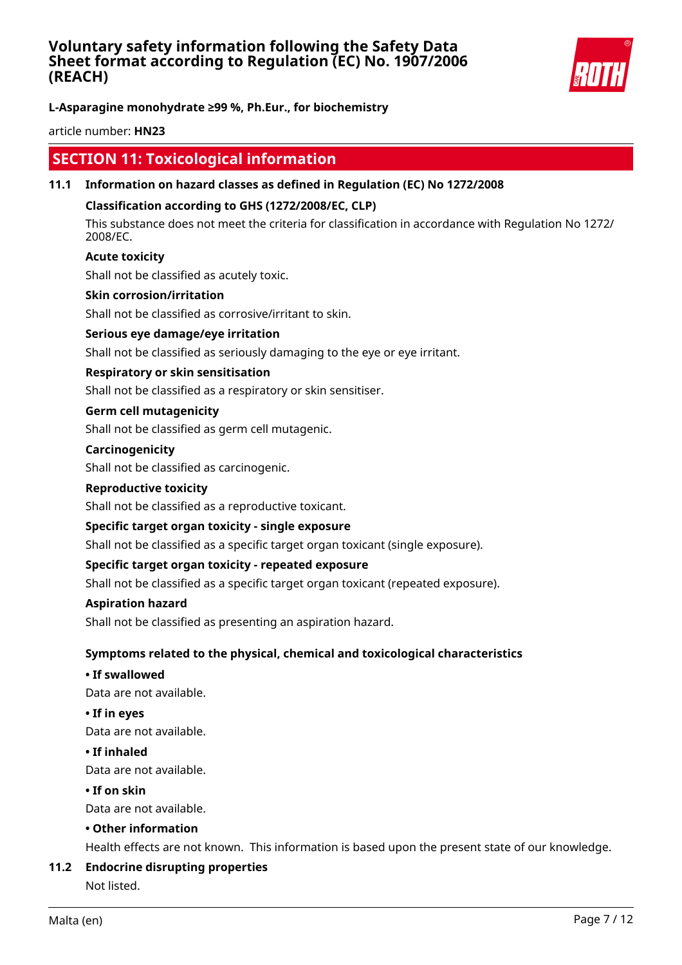

**L-Asparagine monohydrate ≥99 %, Ph.Eur., for biochemistry**

article number: **HN23**

# **SECTION 11: Toxicological information**

### **11.1 Information on hazard classes as defined in Regulation (EC) No 1272/2008**

### **Classification according to GHS (1272/2008/EC, CLP)**

This substance does not meet the criteria for classification in accordance with Regulation No 1272/ 2008/EC.

### **Acute toxicity**

Shall not be classified as acutely toxic.

#### **Skin corrosion/irritation**

Shall not be classified as corrosive/irritant to skin.

#### **Serious eye damage/eye irritation**

Shall not be classified as seriously damaging to the eye or eye irritant.

#### **Respiratory or skin sensitisation**

Shall not be classified as a respiratory or skin sensitiser.

#### **Germ cell mutagenicity**

Shall not be classified as germ cell mutagenic.

#### **Carcinogenicity**

Shall not be classified as carcinogenic.

#### **Reproductive toxicity**

Shall not be classified as a reproductive toxicant.

#### **Specific target organ toxicity - single exposure**

Shall not be classified as a specific target organ toxicant (single exposure).

#### **Specific target organ toxicity - repeated exposure**

Shall not be classified as a specific target organ toxicant (repeated exposure).

#### **Aspiration hazard**

Shall not be classified as presenting an aspiration hazard.

#### **Symptoms related to the physical, chemical and toxicological characteristics**

#### **• If swallowed**

Data are not available.

#### **• If in eyes**

Data are not available.

#### **• If inhaled**

Data are not available.

#### **• If on skin**

Data are not available.

### **• Other information**

Health effects are not known. This information is based upon the present state of our knowledge.

#### **11.2 Endocrine disrupting properties**

Not listed.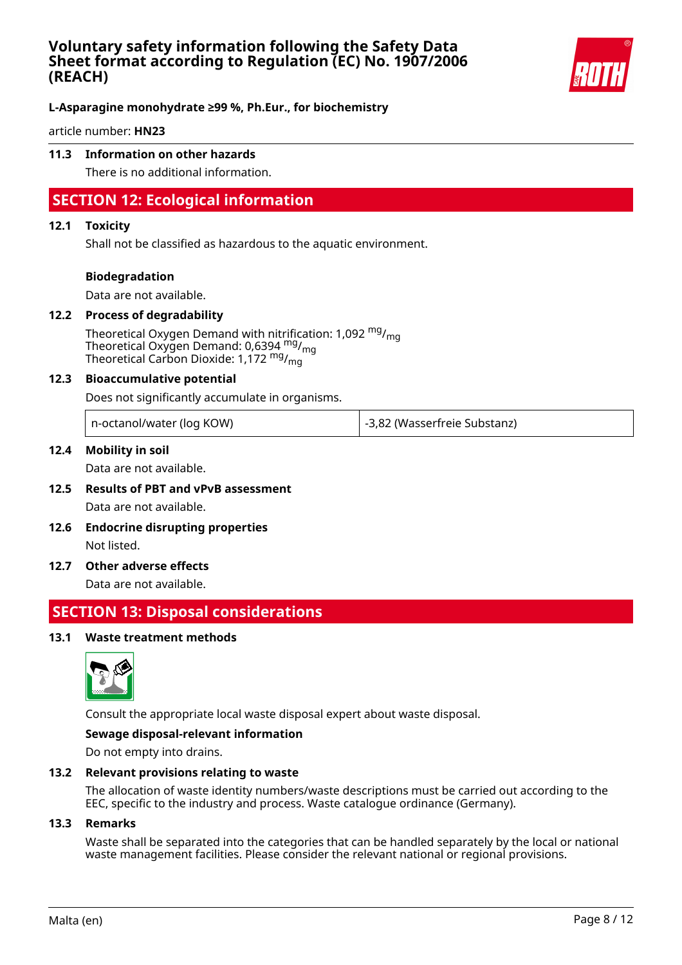

### **L-Asparagine monohydrate ≥99 %, Ph.Eur., for biochemistry**

article number: **HN23**

### **11.3 Information on other hazards**

There is no additional information.

# **SECTION 12: Ecological information**

#### **12.1 Toxicity**

Shall not be classified as hazardous to the aquatic environment.

#### **Biodegradation**

Data are not available.

#### **12.2 Process of degradability**

Theoretical Oxygen Demand with nitrification: 1,092  $mg/m<sub>on</sub>$ Theoretical Oxygen Demand: 0,6394 mg/mg Theoretical Carbon Dioxide: 1,172 mg/mg

#### **12.3 Bioaccumulative potential**

Does not significantly accumulate in organisms.

| n-octanol/water (log KOW) | -3,82 (Wasserfreie Substanz) |
|---------------------------|------------------------------|
|---------------------------|------------------------------|

#### **12.4 Mobility in soil**

Data are not available.

- **12.5 Results of PBT and vPvB assessment** Data are not available.
- **12.6 Endocrine disrupting properties** Not listed.
- **12.7 Other adverse effects**

Data are not available.

# **SECTION 13: Disposal considerations**

#### **13.1 Waste treatment methods**



Consult the appropriate local waste disposal expert about waste disposal.

#### **Sewage disposal-relevant information**

Do not empty into drains.

#### **13.2 Relevant provisions relating to waste**

The allocation of waste identity numbers/waste descriptions must be carried out according to the EEC, specific to the industry and process. Waste catalogue ordinance (Germany).

#### **13.3 Remarks**

Waste shall be separated into the categories that can be handled separately by the local or national waste management facilities. Please consider the relevant national or regional provisions.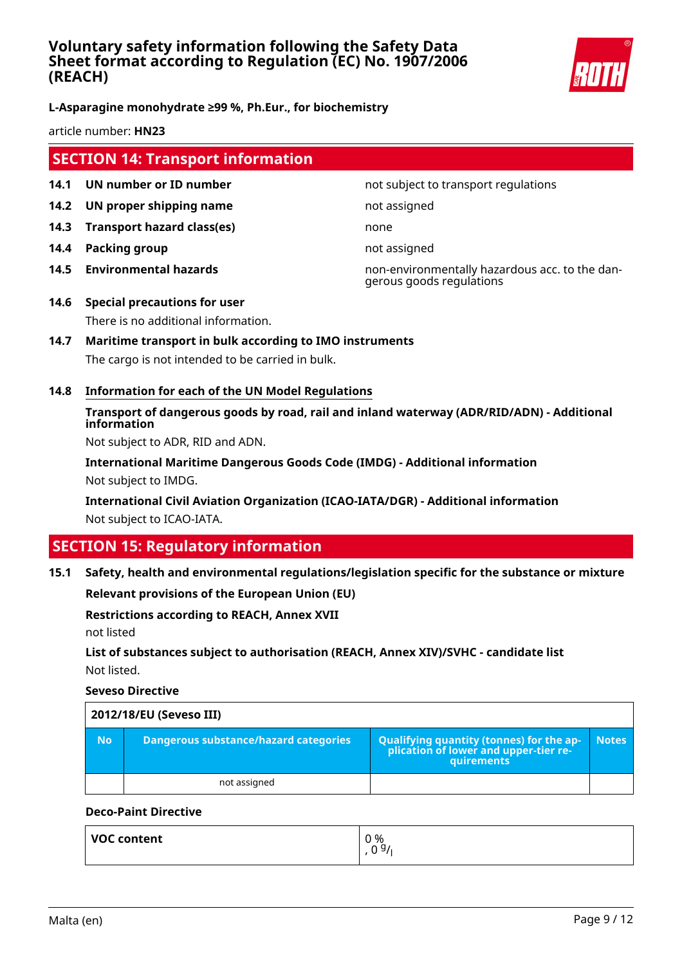

### **L-Asparagine monohydrate ≥99 %, Ph.Eur., for biochemistry**

article number: **HN23**

# **SECTION 14: Transport information**

- **14.1 UN number or ID number not subject to transport regulations**
- **14.2 UN proper shipping name** not assigned
- **14.3 Transport hazard class(es)** none
- **14.4 Packing group not assigned**
- 

**14.5 Environmental hazards** non-environmentally hazardous acc. to the dangerous goods regulations

- **14.6 Special precautions for user** There is no additional information.
- **14.7 Maritime transport in bulk according to IMO instruments** The cargo is not intended to be carried in bulk.
- **14.8 Information for each of the UN Model Regulations**

# **Transport of dangerous goods by road, rail and inland waterway (ADR/RID/ADN) - Additional information**

Not subject to ADR, RID and ADN.

**International Maritime Dangerous Goods Code (IMDG) - Additional information** Not subject to IMDG.

**International Civil Aviation Organization (ICAO-IATA/DGR) - Additional information** Not subject to ICAO-IATA.

# **SECTION 15: Regulatory information**

#### **15.1 Safety, health and environmental regulations/legislation specific for the substance or mixture**

**Relevant provisions of the European Union (EU)**

#### **Restrictions according to REACH, Annex XVII**

not listed

# **List of substances subject to authorisation (REACH, Annex XIV)/SVHC - candidate list** Not listed.

**Seveso Directive**

| 2012/18/EU (Seveso III) |                                       |                                                                                            |              |
|-------------------------|---------------------------------------|--------------------------------------------------------------------------------------------|--------------|
| No.                     | Dangerous substance/hazard categories | Qualifying quantity (tonnes) for the application of lower and upper-tier re-<br>quirements | <b>Notes</b> |
|                         | not assigned                          |                                                                                            |              |

### **Deco-Paint Directive**

| <b>VOC content</b> | 0 %<br>0.91<br>v |
|--------------------|------------------|
|                    |                  |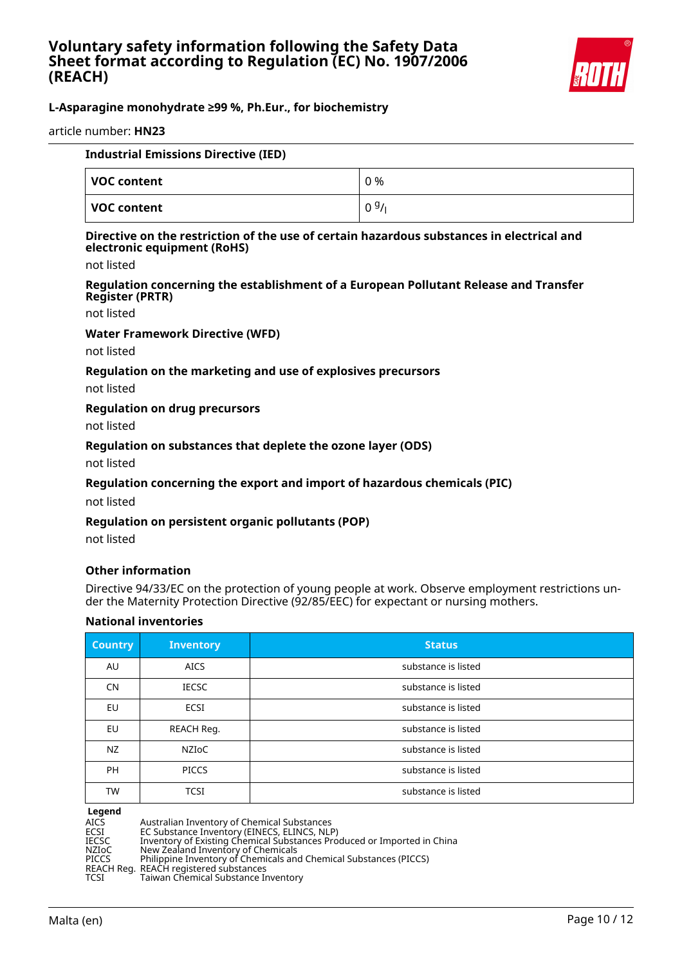

## **L-Asparagine monohydrate ≥99 %, Ph.Eur., for biochemistry**

article number: **HN23**

| <b>Industrial Emissions Directive (IED)</b> |      |
|---------------------------------------------|------|
| VOC content                                 | 0 %  |
| VOC content                                 | 0.9/ |

#### **Directive on the restriction of the use of certain hazardous substances in electrical and electronic equipment (RoHS)**

not listed

#### **Regulation concerning the establishment of a European Pollutant Release and Transfer Register (PRTR)**

not listed

#### **Water Framework Directive (WFD)**

not listed

#### **Regulation on the marketing and use of explosives precursors**

not listed

#### **Regulation on drug precursors**

not listed

#### **Regulation on substances that deplete the ozone layer (ODS)**

not listed

#### **Regulation concerning the export and import of hazardous chemicals (PIC)**

not listed

#### **Regulation on persistent organic pollutants (POP)**

not listed

#### **Other information**

Directive 94/33/EC on the protection of young people at work. Observe employment restrictions under the Maternity Protection Directive (92/85/EEC) for expectant or nursing mothers.

#### **National inventories**

| <b>Country</b> | <b>Inventory</b> | <b>Status</b>       |
|----------------|------------------|---------------------|
| AU             | <b>AICS</b>      | substance is listed |
| <b>CN</b>      | <b>IECSC</b>     | substance is listed |
| <b>EU</b>      | ECSI             | substance is listed |
| EU             | REACH Reg.       | substance is listed |
| NZ             | <b>NZIOC</b>     | substance is listed |
| <b>PH</b>      | <b>PICCS</b>     | substance is listed |
| <b>TW</b>      | <b>TCSI</b>      | substance is listed |

# **Legend**

AICS Australian Inventory of Chemical Substances<br>ECSI EC Substance Inventory (EINECS, ELINCS, NLP

ECSI EC Substance Inventory (EINECS, ELINCS, NLP)

```
IECSC Inventory of Existing Chemical Substances Produced or Imported in China
NZIoC New Zealand Inventory of Chemicals
```
PICCS Philippine Inventory of Chemicals and Chemical Substances (PICCS)

REACH Reg. REACH registered substances

TCSI Taiwan Chemical Substance Inventory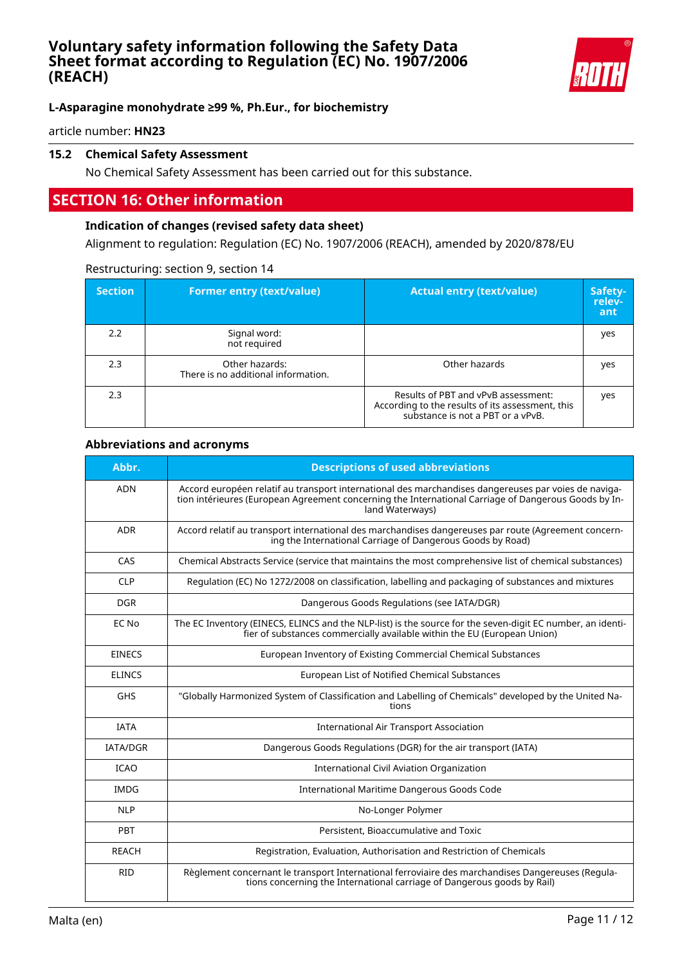

# **L-Asparagine monohydrate ≥99 %, Ph.Eur., for biochemistry**

article number: **HN23**

### **15.2 Chemical Safety Assessment**

No Chemical Safety Assessment has been carried out for this substance.

# **SECTION 16: Other information**

#### **Indication of changes (revised safety data sheet)**

Alignment to regulation: Regulation (EC) No. 1907/2006 (REACH), amended by 2020/878/EU

#### Restructuring: section 9, section 14

| <b>Section</b> | <b>Former entry (text/value)</b>                      | <b>Actual entry (text/value)</b>                                                                                             | Safety-<br>relev-<br>ant |
|----------------|-------------------------------------------------------|------------------------------------------------------------------------------------------------------------------------------|--------------------------|
| 2.2            | Signal word:<br>not required                          |                                                                                                                              | yes                      |
| 2.3            | Other hazards:<br>There is no additional information. | Other hazards                                                                                                                | yes                      |
| 2.3            |                                                       | Results of PBT and vPvB assessment:<br>According to the results of its assessment, this<br>substance is not a PBT or a vPvB. | yes                      |

#### **Abbreviations and acronyms**

| Abbr.           | <b>Descriptions of used abbreviations</b>                                                                                                                                                                                       |
|-----------------|---------------------------------------------------------------------------------------------------------------------------------------------------------------------------------------------------------------------------------|
| <b>ADN</b>      | Accord européen relatif au transport international des marchandises dangereuses par voies de naviga-<br>tion intérieures (European Agreement concerning the International Carriage of Dangerous Goods by In-<br>land Waterways) |
| ADR             | Accord relatif au transport international des marchandises dangereuses par route (Agreement concern-<br>ing the International Carriage of Dangerous Goods by Road)                                                              |
| CAS             | Chemical Abstracts Service (service that maintains the most comprehensive list of chemical substances)                                                                                                                          |
| <b>CLP</b>      | Regulation (EC) No 1272/2008 on classification, labelling and packaging of substances and mixtures                                                                                                                              |
| <b>DGR</b>      | Dangerous Goods Regulations (see IATA/DGR)                                                                                                                                                                                      |
| EC No           | The EC Inventory (EINECS, ELINCS and the NLP-list) is the source for the seven-digit EC number, an identi-<br>fier of substances commercially available within the EU (European Union)                                          |
| <b>EINECS</b>   | European Inventory of Existing Commercial Chemical Substances                                                                                                                                                                   |
| <b>ELINCS</b>   | European List of Notified Chemical Substances                                                                                                                                                                                   |
| <b>GHS</b>      | "Globally Harmonized System of Classification and Labelling of Chemicals" developed by the United Na-<br>tions                                                                                                                  |
| <b>IATA</b>     | <b>International Air Transport Association</b>                                                                                                                                                                                  |
| <b>IATA/DGR</b> | Dangerous Goods Regulations (DGR) for the air transport (IATA)                                                                                                                                                                  |
| <b>ICAO</b>     | <b>International Civil Aviation Organization</b>                                                                                                                                                                                |
| <b>IMDG</b>     | International Maritime Dangerous Goods Code                                                                                                                                                                                     |
| <b>NLP</b>      | No-Longer Polymer                                                                                                                                                                                                               |
| <b>PBT</b>      | Persistent, Bioaccumulative and Toxic                                                                                                                                                                                           |
| <b>REACH</b>    | Registration, Evaluation, Authorisation and Restriction of Chemicals                                                                                                                                                            |
| <b>RID</b>      | Règlement concernant le transport International ferroviaire des marchandises Dangereuses (Regula-<br>tions concerning the International carriage of Dangerous goods by Rail)                                                    |